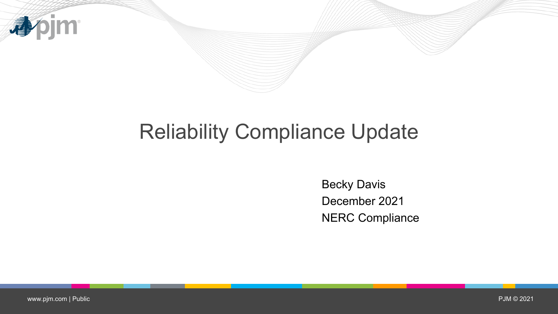

# Reliability Compliance Update

Becky Davis December 2021 NERC Compliance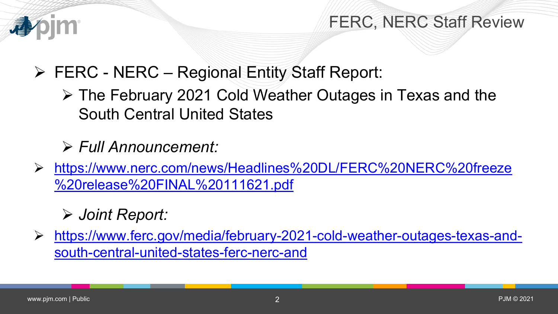

#### FERC, NERC Staff Review

FERC - NERC – Regional Entity Staff Report:

 The February 2021 Cold Weather Outages in Texas and the South Central United States

*Full Announcement:*

 [https://www.nerc.com/news/Headlines%20DL/FERC%20NERC%20freeze](https://www.nerc.com/news/Headlines%20DL/FERC%20NERC%20freeze%20release%20FINAL%20111621.pdf) %20release%20FINAL%20111621.pdf

### *Joint Report:*

 [https://www.ferc.gov/media/february-2021-cold-weather-outages-texas-and](https://www.ferc.gov/media/february-2021-cold-weather-outages-texas-and-south-central-united-states-ferc-nerc-and)south-central-united-states-ferc-nerc-and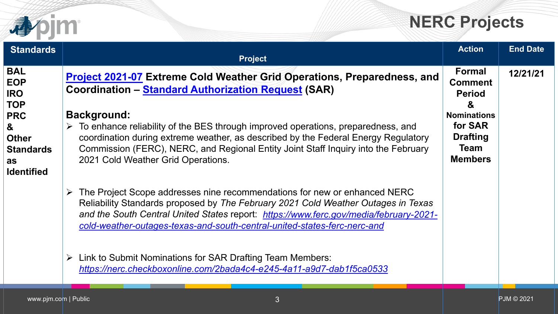

## **NERC Projects**

| <b>Standards</b>                                                                                                                       | <b>Project</b>                                                                                                                                                                                                                                                                                                                                                                                                                                                                                    | <b>Action</b>                                                                                                                              | <b>End Date</b>   |
|----------------------------------------------------------------------------------------------------------------------------------------|---------------------------------------------------------------------------------------------------------------------------------------------------------------------------------------------------------------------------------------------------------------------------------------------------------------------------------------------------------------------------------------------------------------------------------------------------------------------------------------------------|--------------------------------------------------------------------------------------------------------------------------------------------|-------------------|
| <b>BAL</b><br><b>EOP</b><br><b>IRO</b><br><b>TOP</b><br><b>PRC</b><br>&<br><b>Other</b><br><b>Standards</b><br>as<br><b>Identified</b> | <b>Project 2021-07 Extreme Cold Weather Grid Operations, Preparedness, and</b><br><b>Coordination - Standard Authorization Request (SAR)</b><br><b>Background:</b><br>$\triangleright$ To enhance reliability of the BES through improved operations, preparedness, and<br>coordination during extreme weather, as described by the Federal Energy Regulatory<br>Commission (FERC), NERC, and Regional Entity Joint Staff Inquiry into the February<br>2021 Cold Weather Grid Operations.         | <b>Formal</b><br><b>Comment</b><br><b>Period</b><br>&<br><b>Nominations</b><br>for SAR<br><b>Drafting</b><br><b>Team</b><br><b>Members</b> | 12/21/21          |
|                                                                                                                                        | The Project Scope addresses nine recommendations for new or enhanced NERC<br>Reliability Standards proposed by The February 2021 Cold Weather Outages in Texas<br>and the South Central United States report: https://www.ferc.gov/media/february-2021-<br>cold-weather-outages-texas-and-south-central-united-states-ferc-nerc-and<br>Link to Submit Nominations for SAR Drafting Team Members:<br>$\blacktriangleright$<br>https://nerc.checkboxonline.com/2bada4c4-e245-4a11-a9d7-dab1f5ca0533 |                                                                                                                                            |                   |
| www.pjm.com   Public                                                                                                                   | 3                                                                                                                                                                                                                                                                                                                                                                                                                                                                                                 |                                                                                                                                            | <b>PJM © 2021</b> |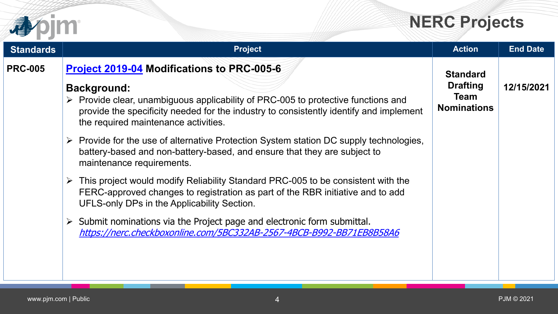## **NERC Projects**

|                  |                                                                                                                                                                                                                                                                                                                                                                                                                                                                                                                                                                                                                                                                                                                                                                                                                                                                                                      | <b>NERC Projects</b>                                                    |                 |
|------------------|------------------------------------------------------------------------------------------------------------------------------------------------------------------------------------------------------------------------------------------------------------------------------------------------------------------------------------------------------------------------------------------------------------------------------------------------------------------------------------------------------------------------------------------------------------------------------------------------------------------------------------------------------------------------------------------------------------------------------------------------------------------------------------------------------------------------------------------------------------------------------------------------------|-------------------------------------------------------------------------|-----------------|
| <b>Standards</b> | <b>Project</b>                                                                                                                                                                                                                                                                                                                                                                                                                                                                                                                                                                                                                                                                                                                                                                                                                                                                                       | <b>Action</b>                                                           | <b>End Date</b> |
| <b>PRC-005</b>   | <b>Project 2019-04 Modifications to PRC-005-6</b><br><b>Background:</b><br>$\triangleright$ Provide clear, unambiguous applicability of PRC-005 to protective functions and<br>provide the specificity needed for the industry to consistently identify and implement<br>the required maintenance activities.<br>Provide for the use of alternative Protection System station DC supply technologies,<br>➤<br>battery-based and non-battery-based, and ensure that they are subject to<br>maintenance requirements.<br>This project would modify Reliability Standard PRC-005 to be consistent with the<br>➤<br>FERC-approved changes to registration as part of the RBR initiative and to add<br>UFLS-only DPs in the Applicability Section.<br>Submit nominations via the Project page and electronic form submittal.<br>➤<br>https://nerc.checkboxonline.com/5BC332AB-2567-4BCB-B992-BB71EB8B58A6 | <b>Standard</b><br><b>Drafting</b><br><b>Team</b><br><b>Nominations</b> | 12/15/2021      |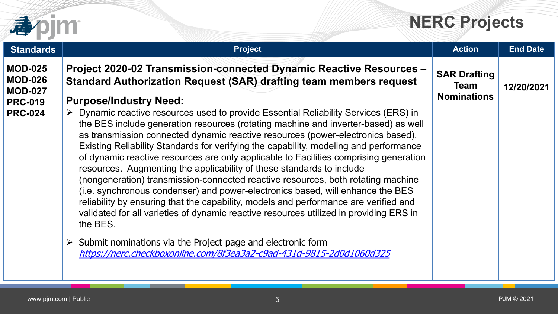



| <b>Standards</b>                                                                       | <b>Project</b>                                                                                                                                                                                                                                                                                                                                                                                                                                                                                                                                                                                                                                                                                                                                                                                                                                                                                                                                                                                                                                                                                                                                                    | <b>Action</b>                                            | <b>End Date</b> |
|----------------------------------------------------------------------------------------|-------------------------------------------------------------------------------------------------------------------------------------------------------------------------------------------------------------------------------------------------------------------------------------------------------------------------------------------------------------------------------------------------------------------------------------------------------------------------------------------------------------------------------------------------------------------------------------------------------------------------------------------------------------------------------------------------------------------------------------------------------------------------------------------------------------------------------------------------------------------------------------------------------------------------------------------------------------------------------------------------------------------------------------------------------------------------------------------------------------------------------------------------------------------|----------------------------------------------------------|-----------------|
| <b>MOD-025</b><br><b>MOD-026</b><br><b>MOD-027</b><br><b>PRC-019</b><br><b>PRC-024</b> | Project 2020-02 Transmission-connected Dynamic Reactive Resources -<br><b>Standard Authorization Request (SAR) drafting team members request</b><br><b>Purpose/Industry Need:</b><br>> Dynamic reactive resources used to provide Essential Reliability Services (ERS) in<br>the BES include generation resources (rotating machine and inverter-based) as well<br>as transmission connected dynamic reactive resources (power-electronics based).<br>Existing Reliability Standards for verifying the capability, modeling and performance<br>of dynamic reactive resources are only applicable to Facilities comprising generation<br>resources. Augmenting the applicability of these standards to include<br>(nongeneration) transmission-connected reactive resources, both rotating machine<br>(i.e. synchronous condenser) and power-electronics based, will enhance the BES<br>reliability by ensuring that the capability, models and performance are verified and<br>validated for all varieties of dynamic reactive resources utilized in providing ERS in<br>the BES.<br>$\triangleright$ Submit nominations via the Project page and electronic form | <b>SAR Drafting</b><br><b>Team</b><br><b>Nominations</b> | 12/20/2021      |
|                                                                                        | https://nerc.checkboxonline.com/8f3ea3a2-c9ad-431d-9815-2d0d1060d325                                                                                                                                                                                                                                                                                                                                                                                                                                                                                                                                                                                                                                                                                                                                                                                                                                                                                                                                                                                                                                                                                              |                                                          |                 |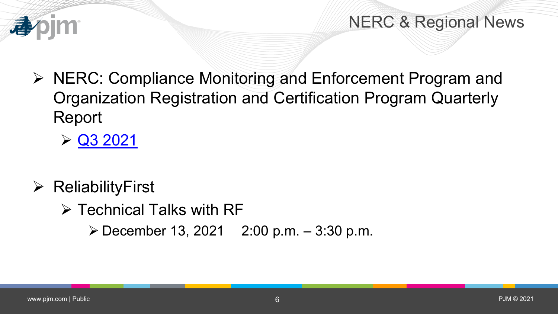

NERC & Regional News

- $\triangleright$  NERC: Compliance Monitoring and Enforcement Program and Organization Registration and Certification Program Quarterly Report
	- $\triangleright$  [Q3 2021](https://www.nerc.com/pa/comp/CE/ReportsDL/Q3%202021%20Quarterly%20CMEP%20Report.pdf)
- $\triangleright$  ReliabilityFirst
	- $\triangleright$  Technical Talks with RF
		- $\triangleright$  December 13, 2021 2:00 p.m. 3:30 p.m.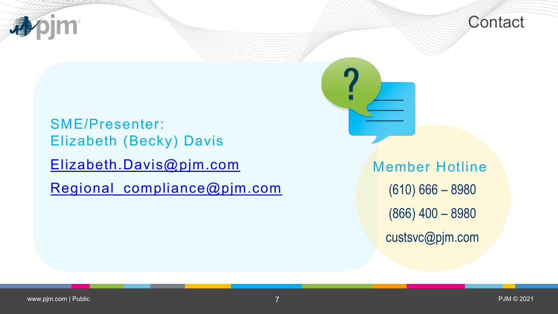



SME/Presenter: Elizabeth (Becky) Davis [Elizabeth.Davis@pjm.com](mailto:Elizabeth.Davis@pjm.com)

Regional compliance@pjm.com

Member Hotline (610) 666 – 8980 (866) 400 – 8980 custsvc@pjm.com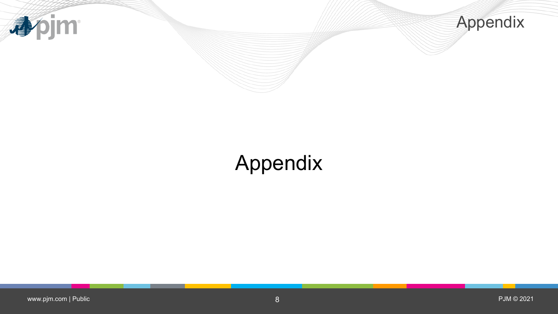



## Appendix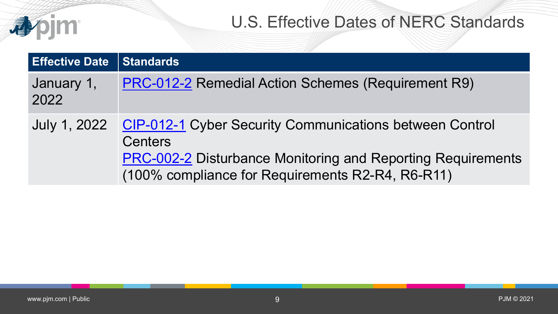#### U.S. Effective Dates of NERC Standards

| <b>Effective Date</b> | <b>Standards</b>                                                                                                                                                                                                 |
|-----------------------|------------------------------------------------------------------------------------------------------------------------------------------------------------------------------------------------------------------|
| January 1,<br>2022    | <b>PRC-012-2 Remedial Action Schemes (Requirement R9)</b>                                                                                                                                                        |
|                       | July 1, 2022 CIP-012-1 Cyber Security Communications between Control<br><b>Centers</b><br><b>PRC-002-2 Disturbance Monitoring and Reporting Requirements</b><br>(100% compliance for Requirements R2-R4, R6-R11) |

apjm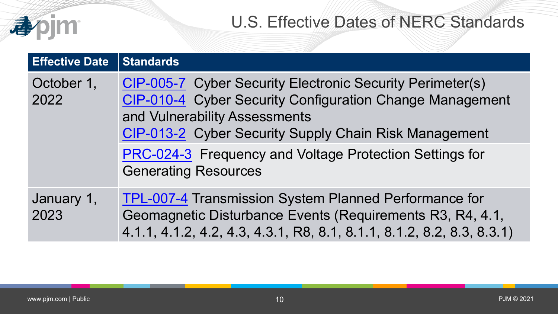|                       | <b>U.S. Effective Dates of NERC Standards</b>                                                                                                                                                                                                                                                                    |
|-----------------------|------------------------------------------------------------------------------------------------------------------------------------------------------------------------------------------------------------------------------------------------------------------------------------------------------------------|
| <b>Effective Date</b> | <b>Standards</b>                                                                                                                                                                                                                                                                                                 |
| October 1,<br>2022    | <b>CIP-005-7</b> Cyber Security Electronic Security Perimeter(s)<br>CIP-010-4 Cyber Security Configuration Change Management<br>and Vulnerability Assessments<br>CIP-013-2 Cyber Security Supply Chain Risk Management<br>PRC-024-3 Frequency and Voltage Protection Settings for<br><b>Generating Resources</b> |
| January 1,<br>2023    | <b>TPL-007-4 Transmission System Planned Performance for</b><br>Geomagnetic Disturbance Events (Requirements R3, R4, 4.1,<br>4.1.1, 4.1.2, 4.2, 4.3, 4.3.1, R8, 8.1, 8.1.1, 8.1.2, 8.2, 8.3, 8.3.1)                                                                                                              |